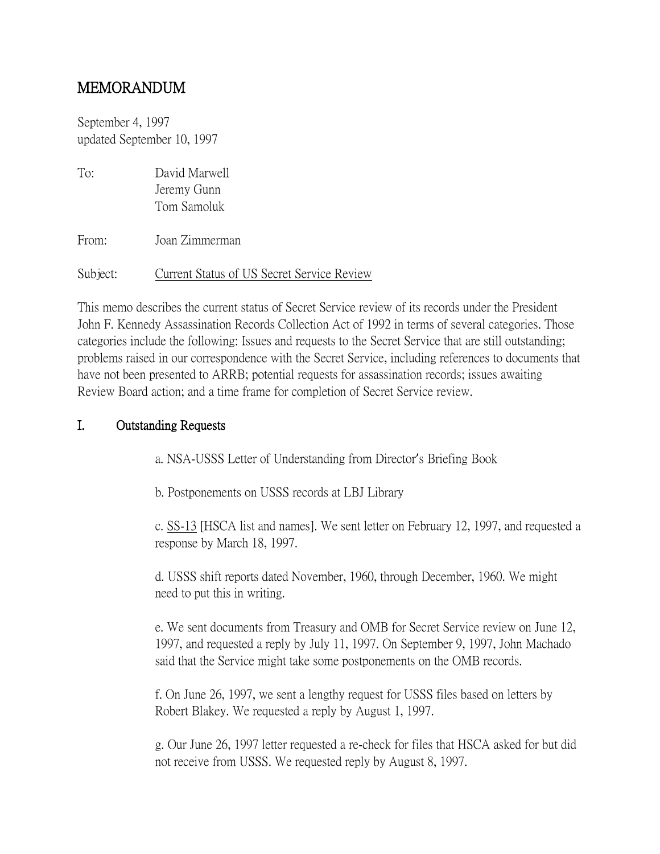# MEMORANDUM

September 4, 1997 updated September 10, 1997

| To:      | David Marwell<br>Jeremy Gunn<br>Tom Samoluk |
|----------|---------------------------------------------|
| From:    | Joan Zimmerman                              |
| Subject: | Current Status of US Secret Service Review  |

This memo describes the current status of Secret Service review of its records under the President John F. Kennedy Assassination Records Collection Act of 1992 in terms of several categories. Those categories include the following: Issues and requests to the Secret Service that are still outstanding; problems raised in our correspondence with the Secret Service, including references to documents that have not been presented to ARRB; potential requests for assassination records; issues awaiting Review Board action; and a time frame for completion of Secret Service review.

## I. Outstanding Requests

a. NSA-USSS Letter of Understanding from Director's Briefing Book

b. Postponements on USSS records at LBJ Library

c. SS-13 [HSCA list and names]. We sent letter on February 12, 1997, and requested a response by March 18, 1997.

d. USSS shift reports dated November, 1960, through December, 1960. We might need to put this in writing.

e. We sent documents from Treasury and OMB for Secret Service review on June 12, 1997, and requested a reply by July 11, 1997. On September 9, 1997, John Machado said that the Service might take some postponements on the OMB records.

f. On June 26, 1997, we sent a lengthy request for USSS files based on letters by Robert Blakey. We requested a reply by August 1, 1997.

g. Our June 26, 1997 letter requested a re-check for files that HSCA asked for but did not receive from USSS. We requested reply by August 8, 1997.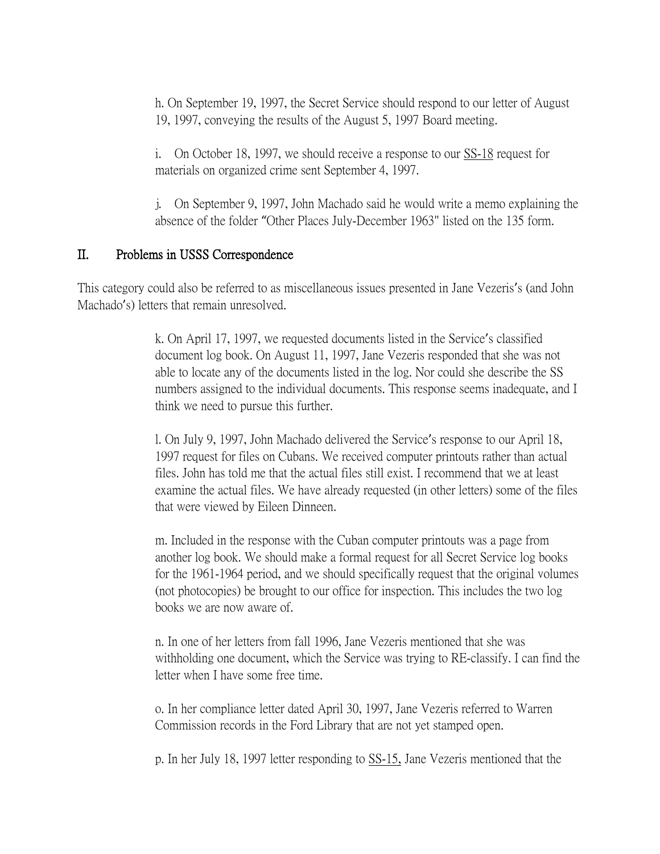h. On September 19, 1997, the Secret Service should respond to our letter of August 19, 1997, conveying the results of the August 5, 1997 Board meeting.

i. On October 18, 1997, we should receive a response to our SS-18 request for materials on organized crime sent September 4, 1997.

j. On September 9, 1997, John Machado said he would write a memo explaining the absence of the folder "Other Places July-December 1963" listed on the 135 form.

## II. Problems in USSS Correspondence

This category could also be referred to as miscellaneous issues presented in Jane Vezeris's (and John Machado's) letters that remain unresolved.

> k. On April 17, 1997, we requested documents listed in the Service's classified document log book. On August 11, 1997, Jane Vezeris responded that she was not able to locate any of the documents listed in the log. Nor could she describe the SS numbers assigned to the individual documents. This response seems inadequate, and I think we need to pursue this further.

> l. On July 9, 1997, John Machado delivered the Service's response to our April 18, 1997 request for files on Cubans. We received computer printouts rather than actual files. John has told me that the actual files still exist. I recommend that we at least examine the actual files. We have already requested (in other letters) some of the files that were viewed by Eileen Dinneen.

> m. Included in the response with the Cuban computer printouts was a page from another log book. We should make a formal request for all Secret Service log books for the 1961-1964 period, and we should specifically request that the original volumes (not photocopies) be brought to our office for inspection. This includes the two log books we are now aware of.

> n. In one of her letters from fall 1996, Jane Vezeris mentioned that she was withholding one document, which the Service was trying to RE-classify. I can find the letter when I have some free time.

o. In her compliance letter dated April 30, 1997, Jane Vezeris referred to Warren Commission records in the Ford Library that are not yet stamped open.

p. In her July 18, 1997 letter responding to SS-15, Jane Vezeris mentioned that the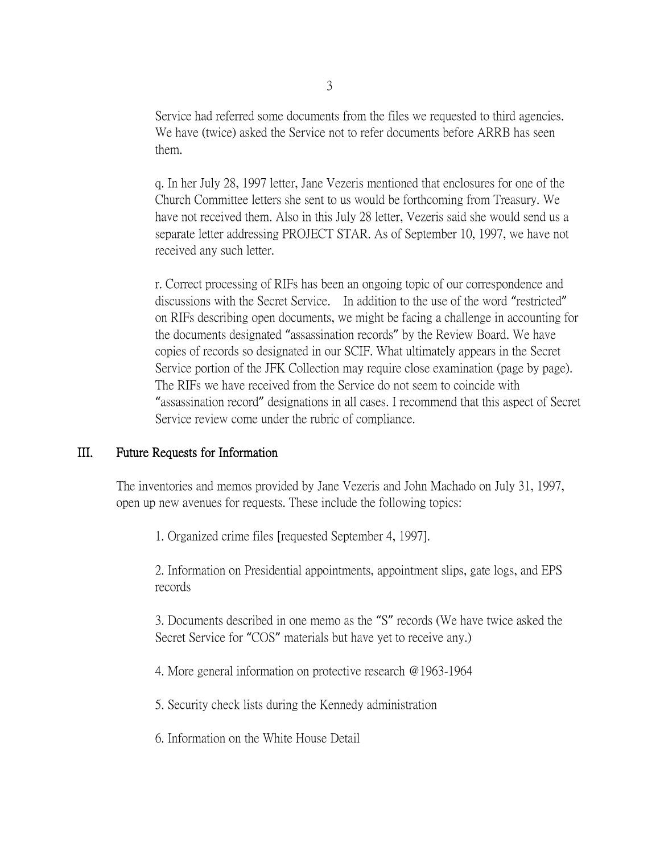Service had referred some documents from the files we requested to third agencies. We have (twice) asked the Service not to refer documents before ARRB has seen them.

q. In her July 28, 1997 letter, Jane Vezeris mentioned that enclosures for one of the Church Committee letters she sent to us would be forthcoming from Treasury. We have not received them. Also in this July 28 letter, Vezeris said she would send us a separate letter addressing PROJECT STAR. As of September 10, 1997, we have not received any such letter.

r. Correct processing of RIFs has been an ongoing topic of our correspondence and discussions with the Secret Service. In addition to the use of the word "restricted" on RIFs describing open documents, we might be facing a challenge in accounting for the documents designated "assassination records" by the Review Board. We have copies of records so designated in our SCIF. What ultimately appears in the Secret Service portion of the JFK Collection may require close examination (page by page). The RIFs we have received from the Service do not seem to coincide with "assassination record" designations in all cases. I recommend that this aspect of Secret Service review come under the rubric of compliance.

#### III. Future Requests for Information

The inventories and memos provided by Jane Vezeris and John Machado on July 31, 1997, open up new avenues for requests. These include the following topics:

1. Organized crime files [requested September 4, 1997].

2. Information on Presidential appointments, appointment slips, gate logs, and EPS records

3. Documents described in one memo as the "S" records (We have twice asked the Secret Service for "COS" materials but have yet to receive any.)

4. More general information on protective research @1963-1964

5. Security check lists during the Kennedy administration

6. Information on the White House Detail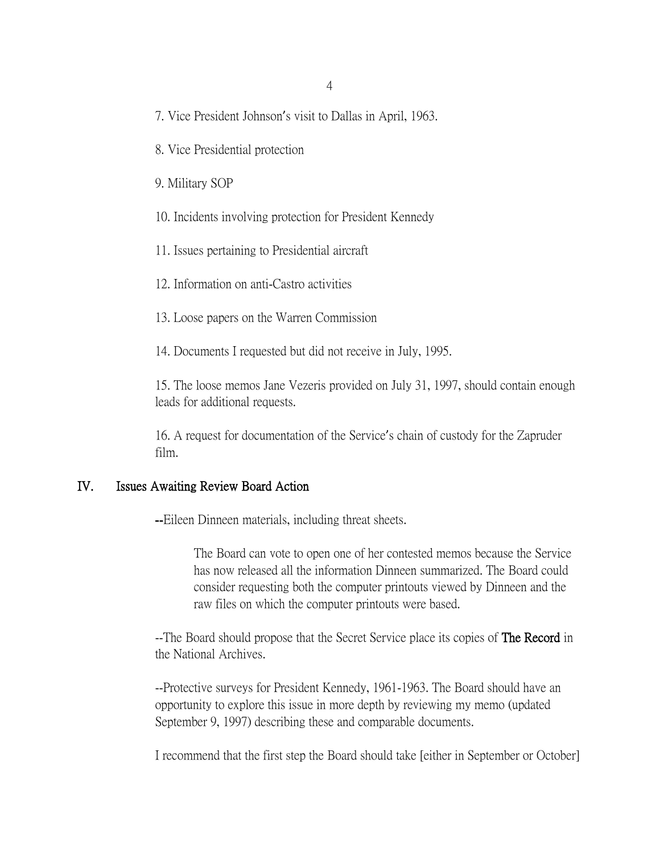- 7. Vice President Johnson's visit to Dallas in April, 1963.
- 8. Vice Presidential protection
- 9. Military SOP
- 10. Incidents involving protection for President Kennedy
- 11. Issues pertaining to Presidential aircraft
- 12. Information on anti-Castro activities
- 13. Loose papers on the Warren Commission
- 14. Documents I requested but did not receive in July, 1995.

15. The loose memos Jane Vezeris provided on July 31, 1997, should contain enough leads for additional requests.

16. A request for documentation of the Service's chain of custody for the Zapruder film.

#### IV. Issues Awaiting Review Board Action

--Eileen Dinneen materials, including threat sheets.

The Board can vote to open one of her contested memos because the Service has now released all the information Dinneen summarized. The Board could consider requesting both the computer printouts viewed by Dinneen and the raw files on which the computer printouts were based.

--The Board should propose that the Secret Service place its copies of **The Record** in the National Archives.

--Protective surveys for President Kennedy, 1961-1963. The Board should have an opportunity to explore this issue in more depth by reviewing my memo (updated September 9, 1997) describing these and comparable documents.

I recommend that the first step the Board should take [either in September or October]